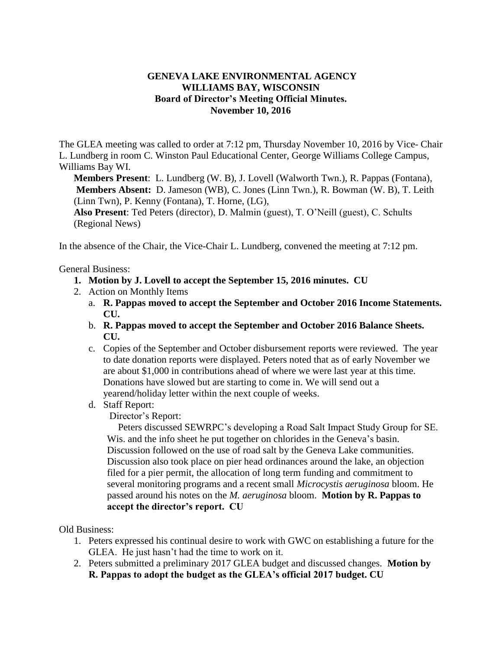## **GENEVA LAKE ENVIRONMENTAL AGENCY WILLIAMS BAY, WISCONSIN Board of Director's Meeting Official Minutes. November 10, 2016**

The GLEA meeting was called to order at 7:12 pm, Thursday November 10, 2016 by Vice- Chair L. Lundberg in room C. Winston Paul Educational Center, George Williams College Campus, Williams Bay WI.

**Members Present**: L. Lundberg (W. B), J. Lovell (Walworth Twn.), R. Pappas (Fontana), **Members Absent:** D. Jameson (WB), C. Jones (Linn Twn.), R. Bowman (W. B), T. Leith (Linn Twn), P. Kenny (Fontana), T. Horne, (LG), **Also Present**: Ted Peters (director), D. Malmin (guest), T. O'Neill (guest), C. Schults

(Regional News)

In the absence of the Chair, the Vice-Chair L. Lundberg, convened the meeting at 7:12 pm.

General Business:

- **1. Motion by J. Lovell to accept the September 15, 2016 minutes. CU**
- 2. Action on Monthly Items
	- a. **R. Pappas moved to accept the September and October 2016 Income Statements. CU.**
	- b. **R. Pappas moved to accept the September and October 2016 Balance Sheets. CU.**
	- c. Copies of the September and October disbursement reports were reviewed. The year to date donation reports were displayed. Peters noted that as of early November we are about \$1,000 in contributions ahead of where we were last year at this time. Donations have slowed but are starting to come in. We will send out a yearend/holiday letter within the next couple of weeks.
	- d. Staff Report:

Director's Report:

Peters discussed SEWRPC's developing a Road Salt Impact Study Group for SE. Wis. and the info sheet he put together on chlorides in the Geneva's basin. Discussion followed on the use of road salt by the Geneva Lake communities. Discussion also took place on pier head ordinances around the lake, an objection filed for a pier permit, the allocation of long term funding and commitment to several monitoring programs and a recent small *Microcystis aeruginosa* bloom. He passed around his notes on the *M. aeruginosa* bloom. **Motion by R. Pappas to accept the director's report. CU**

Old Business:

- 1. Peters expressed his continual desire to work with GWC on establishing a future for the GLEA. He just hasn't had the time to work on it.
- 2. Peters submitted a preliminary 2017 GLEA budget and discussed changes. **Motion by R. Pappas to adopt the budget as the GLEA's official 2017 budget. CU**